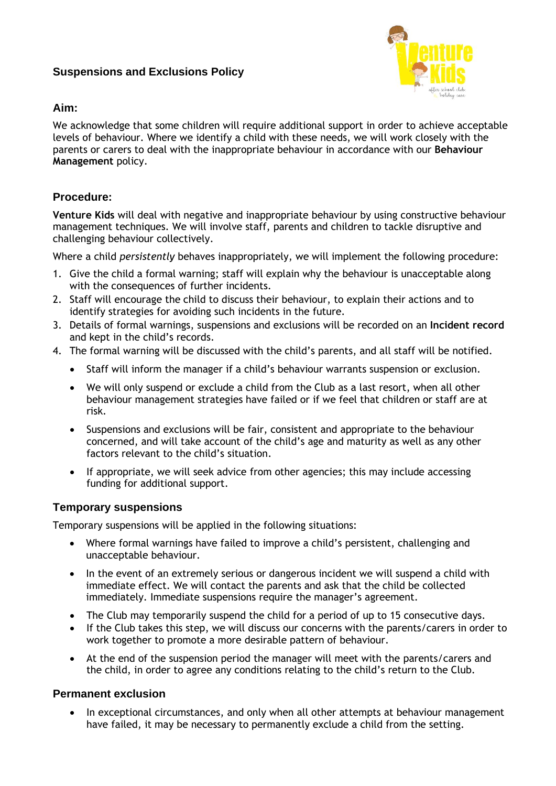# **Suspensions and Exclusions Policy**



## **Aim:**

We acknowledge that some children will require additional support in order to achieve acceptable levels of behaviour. Where we identify a child with these needs, we will work closely with the parents or carers to deal with the inappropriate behaviour in accordance with our **Behaviour Management** policy.

## **Procedure:**

**Venture Kids** will deal with negative and inappropriate behaviour by using constructive behaviour management techniques. We will involve staff, parents and children to tackle disruptive and challenging behaviour collectively.

Where a child *persistently* behaves inappropriately, we will implement the following procedure:

- 1. Give the child a formal warning; staff will explain why the behaviour is unacceptable along with the consequences of further incidents.
- 2. Staff will encourage the child to discuss their behaviour, to explain their actions and to identify strategies for avoiding such incidents in the future.
- 3. Details of formal warnings, suspensions and exclusions will be recorded on an **Incident record** and kept in the child's records.
- 4. The formal warning will be discussed with the child's parents, and all staff will be notified.
	- Staff will inform the manager if a child's behaviour warrants suspension or exclusion.
	- We will only suspend or exclude a child from the Club as a last resort, when all other behaviour management strategies have failed or if we feel that children or staff are at risk.
	- Suspensions and exclusions will be fair, consistent and appropriate to the behaviour concerned, and will take account of the child's age and maturity as well as any other factors relevant to the child's situation.
	- If appropriate, we will seek advice from other agencies; this may include accessing funding for additional support.

## **Temporary suspensions**

Temporary suspensions will be applied in the following situations:

- Where formal warnings have failed to improve a child's persistent, challenging and unacceptable behaviour.
- In the event of an extremely serious or dangerous incident we will suspend a child with immediate effect. We will contact the parents and ask that the child be collected immediately. Immediate suspensions require the manager's agreement.
- The Club may temporarily suspend the child for a period of up to 15 consecutive days.
- If the Club takes this step, we will discuss our concerns with the parents/carers in order to work together to promote a more desirable pattern of behaviour.
- At the end of the suspension period the manager will meet with the parents/carers and the child, in order to agree any conditions relating to the child's return to the Club.

## **Permanent exclusion**

• In exceptional circumstances, and only when all other attempts at behaviour management have failed, it may be necessary to permanently exclude a child from the setting.